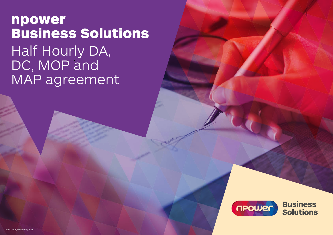npower Business Solutions Half Hourly DA, DC, MOP and MAP agreement



**Business Solutions**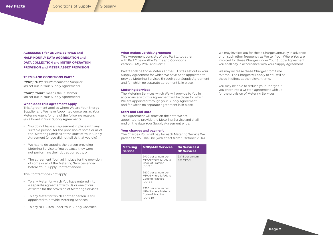<span id="page-1-0"></span>**AGREEMENT for ONLINE SERVICE and HALF-HOURLY DATA AGGREGATION and DATA COLLECTION and METER OPERATION PROVISION and METER ASSET PROVISION**

# **TERMS AND CONDITIONS PART 1**

 **"We"/ "Us"/ "Our"** means the Supplier (as set out in Your Supply Agreement)

**"You"/ "Your"** means the Customer (as set out in Your Supply Agreement)

#### **When does this Agreement Apply**

This Agreement applies where We are Your Energy Supplier and We have Appointed ourselves as Your Metering Agent for one of the following reasons (as allowed in Your Supply Agreement):

- You do not have an agreement in place with any suitable person for the provision of some or all of the Metering Services at the start of Your Supply Agreement (or you did not tell Us that you did)
- We had to de-appoint the person providing Metering Service to You because they were not performing their duties correctly; or
- The agreement You had in place for the provision of some or all of the Metering Services ended before Your Supply Contract ended.

This Contract does not apply:

- To any Meter for which You have entered into a separate agreement with Us or one of our Affiliates for the provision of Metering Services.
- To any Meter for which another person is still appointed to provide Metering Services
- To any NHH Sites under Your Supply Contract.

#### **What makes up this Agreement**

This Agreement consists of this Part 1, together with Part 2 below (the Terms and Conditions *version 3 May 2018* and Part 3.

Part 3 shall be those Meters at the HH Sites set out in Your Supply Agreement for which We have been appointed to provide Metering Services through your Supply Agreement and for which no separate agreement is in place.

#### **Metering Services**

The Metering Services which We will provide to You in accordance with this Agreement will be those for which We are appointed through your Supply Agreement and for which no separate agreement is in place.

### **Start and End Date**

This Agreement will start on the date We are appointed to provide the Metering Service and shall end on the date Your Supply Agreement ends.

# **Your charges and payment**

The Charges You shall pay for each Metering Service We provide to You shall be (with effect from 1 October 2016):

| Metering<br>Service | <b>MOP/MAP Services</b>                                                   | <b>DA Services &amp;</b><br><b>DC Services</b> |
|---------------------|---------------------------------------------------------------------------|------------------------------------------------|
|                     | £900 per annum per<br>MPAN where MPAN is<br>Code of Practice<br>$(COP)$ 3 | £345 per annum<br>per MPAN                     |
|                     | £600 per annum per<br>MPAN where MPAN is<br>Code of Practice<br>$(COP)$ 5 |                                                |
|                     | £300 per annum per<br>MPAN where Meter is<br>Code of Practice<br>(COP) 10 |                                                |

We may invoice You for these Charges annually in advance or on such other frequency as We tell You. Where You are invoiced for these Charges under Your Supply Agreement, You shall pay in accordance with Your Supply Agreement.

We may increase these Charges from time to time. The Charges will apply to You will be those in effect at the relevant time.

You may be able to reduce your Charges if you enter into a written agreement with us for the provision of Metering Services.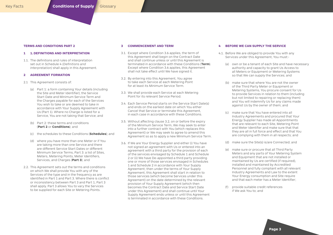# <span id="page-2-0"></span>**TERMS AND CONDITIONS PART 2**

### **1 1. DEFINITIONS AND INTERPRETATION**

1.1. The definitions and rules of interpretation set out in Schedule 4 *(Definitions and Interpretation)* shall apply in this Agreement.

# **2 AGREEMENT FORMATION**

- 2.1 This Agreement consists of:
	- (a) Part 1: a form containing Your details (including the Site and Meter Identifier), the Service Start Date and Minimum Service Term and the Charges payable for each of the Services You wish to take or are deemed to take in accordance with Your Supply Agreement with Us (Part 1). Where no Charge is listed for a Service, You are not taking that Service; and
	- (b) Part 2: these terms and conditions (**Part 2** or **Conditions**); and
	- (c) the schedules to these Conditions (**Schedules**); and
	- (d) where you have more than one Meter or if You are taking more than one Service and there are different Service Start Dates or different Minimum Service Terms, Part 3: a list of Sites, Meters, Metering Points, Meter Identifiers, Services, and Charges (**Part 3**); and
- 2.2. This Agreement sets out the terms and conditions on which We shall provide You with any of the Services of the type and in the frequency as are identified in Part 1 and Part 3. Where there is conflict or inconsistency between Part 3 and Part 1, Part 3 shall apply. Part 3 allows You to vary the Services to be supplied for each Site or Metering Points.

### **3 COMMENCEMENT AND TERM**

- 3.1. Except where Condition 3.6 applies, the term of this Agreement shall begin on the Contract Date and shall continue unless or until this Agreement is terminated in accordance with these Conditions (**Term**). Except where Condition 3.6 applies, this Agreement shall not take effect until We have signed it.
- 3.2. By entering into this Agreement, You agree to take each Service at each Metering Point for at least its Minimum Service Term.
- 3.3. We shall provide each Service at each Metering Point for its relevant Service Period.
- 3.4. Each Service Period starts on the Service Start Date(s) and ends on the earliest date on which You either Cancel that Service or terminate this Agreement, in each case in accordance with these Conditions.
- 3.5. Without affecting clause 3.2, on or before the expiry of the Minimum Service Term, We may seek to enter into a further contract with You (which replaces this Agreement) or We may seek to agree to amend this Agreement so as to apply a new Minimum Service Term.
- 3.6. If We are Your Energy Supplier and either (i) You have not signed an agreement with Us or entered into an agreement with a third party for the provision of each of the services envisaged by Schedule 1 and Schedule 2 or (ii) We have De-appointed a third party providing one or more of those services envisaged in Schedules 1 and Schedule 2 in accordance with Your Supply Agreement; then under the terms of Your Supply Agreement, this Agreement shall start in relation to those services (which become Services under this Agreement) on the date determined by the relevant provision of Your Supply Agreement (which then becomes the Contract Date and Service Start Date under this Agreement) and shall continue until Your Supply Agreement ends unless or until this Agreement is terminated in accordance with these Conditions.

### **4 BEFORE WE CAN SUPPLY THE SERVICE**

- 4.1. Before We are obliged to provide You with any Services under this Agreement, You must:-
	- (a) own or be a tenant of each Site and have necessary authority and capacity to grant Us Access to all Meters or Equipment or Metering Systems so that We can supply the Services; and
	- (b) make sure that where You are not the owner of the Third Party Meter or Equipment or Metering Systems, You procure consent for Us to provide Services in relation to them (including but not limited to repairing or replacing them) and You will indemnify Us for any claims made against Us by the owner of them; and
	- (c) make sure that You have entered into all Industry Agreements and procured that Your Energy Supplier has made all Appointments that are relevant to each Site, Metering Point and Meter Identifier and make sure that that they are all in full force and effect and that You are complying with them in all respects; and
	- (d) make sure the Site(s) is/are Connected; and
	- (e) make sure or procure that all Third Party Meters and any parts of Your Metering System and Equipment that are not installed or maintained by Us are certified (if required), installed and maintained by Accredited Personnel and fully compliant with all relevant Industry Agreements and Law to the extent Your Energy consumption and Site require and that each meter has a Meter Identifier;
	- (f) provide suitable credit references if We ask You to; and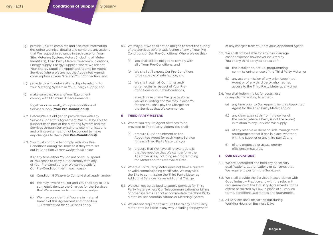- (g) provide Us with complete and accurate information (including technical details) and complete any actions that We request in advance in each case for: Your Site, Metering System, Meters (including all Meter Identifiers), Third Party Meters, Telecommunications, Energy supply, Energy Supplier (where We are not Your Energy Supplier), Appointed Agents for Agent Services (where We are not the Appointed Agent), consumption at Your Site and Your Connection; and
- (h) provide Us with details of any dispute relating to Your Metering System or Your Energy supply; and
- (i) make sure that You and Your Equipment comply with Minimum IT Requirements,

together or severally, Your pre-conditions of Service supply (**Your Pre-Condition(s)**).

- 4.2. Before We are obliged to provide You with any Services under this Agreement, We must be able to support each part of the Metering System and the Services through Our existing telecommunications and billing systems and not be obliged to make any changes to them (**Our Pre-Condition(s)**).
- 4.3. You must continue to comply with Your Pre-Conditions during the Term as if they were set out in Condition 7 (*Your Obligations*) below.

If at any time either You do not or You suspend or You cease to carry out or comply with any of Your Pre-Conditions or We cannot satisfy Our Pre-Condition then in each case:-

- (a) Condition 8 (*Failure to Comply*) shall apply; and/or
- (b) We may invoice You for and You shall pay to us a sum equivalent to the Charges for the Services that We are unable to commence; and/or
- (c) We may consider that You are in material breach of this Agreement and Condition 15 (*Termination for Fault*) shall apply.
- 4.4. We may but We shall not be obliged to start the supply of the Services before satisfaction of any of Your Pre-Conditions or Our Pre-Conditions. Where We do this:-
	- (a) You shall still be obliged to comply with all of Your Pre-Conditions; and
	- (b) We shall still expect Our Pre-Conditions to be capable of satisfaction; and
	- (c) We shall retain all Our rights and/ or remedies in respect of Your Pre-Conditions or Our Pre-Conditions,

in each case unless We give to You a waiver in writing and We may invoice You for and You shall pay the Charges for the Services that We commence.

# **5 THIRD PARTY METERS**

- 5.1. Where You require Agent Services to be provided to Third Party Meters You shall:-
	- (a) procure Our Appointment as the Appointed Agent for each Agent Service for each Third Party Meter; and/or
	- (b) procure that We have all relevant details that We need so that We can perform the Agent Services, including re-programming the Meter and the retrieval of Data.
- 5.2. Where a Third Party Meter does not have a current or valid commissioning certificate, We may visit the Site to commission the Third Party Meter as Additional Services for an Additional Charge.
- 5.3. We shall not be obliged to supply Services for Third Party Meters where Our Telecommunications or billing or other systems cannot accommodate the Third Party Meter, its Telecommunications or Metering System.
- 5.4. We are not required to acquire title to any Third Party Meter or to be liable in any way including for payment

of any charges from Your previous Appointed Agent.

- 5.5. We shall not be liable for any loss, damage, cost or expense howsoever incurred by You or any third party as a result of:-
	- (a) the installation, set-up, programming, commissioning or use of the Third Party Meter; or
	- (b) any act or omission of any prior Appointed Agent or of any third party who has had access to the Third Party Meter at any time.
- 5.6. You shall indemnify Us for costs, loss or any claims relating to either:-
	- (a) any time prior to Our Appointment as Appointed Agent for the Third Party Meter; and/or
	- (b) any claim against Us from the owner of the meter (where a Party is not the owner) in relation to any Services We supply.
	- (e) of any reserve or demand side management arrangements that it has in place (whether with the Supplier or any third party); and
	- (f) of any proposed or actual energy efficiency measures.

# **6 OUR OBLIGATIONS**

- 6.1 We are Accredited and hold any necessary qualifications, authorisations or consents that We require to perform the Service(s).
- 6.2. We shall provide the Services in accordance with Good Industry Practice and with the relevant requirements of the Industry Agreements, to the extent permitted by Law, in place of all implied terms, conditions, warranties and guarantees.
- 6.3. All Services shall be carried out during Working Hours on Business Days.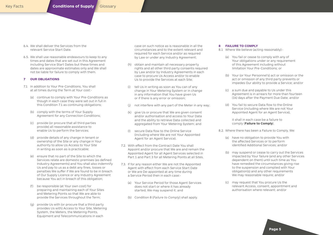- 6.4. We shall deliver the Services from the relevant Service Start Date.
- 6.5. We shall use reasonable endeavours to keep to any times and dates that are set out in this Agreement including Service Start Dates but these times and dates are approximate estimates only and We shall not be liable for failure to comply with them.

# **7 OUR OBLIGATIONS**

- 7.1 In addition to Your Pre-Conditions, You shall at all times during the Term at Your cost:-
	- (a) continue to comply with Your Pre-Conditions as though in each case they were set out in full in this Condition 7.1 as continuing obligations;
	- (b) comply with the terms of Your Supply Agreement for any Connection Conditions;
	- (c) provide (or procure that all third parties provide) all reasonable assistance to enable Us to perform the Services;
	- (d) provide details of any change in tenant or ownership of the Site or any change in Your authority to allow Us Access to Your Site in writing as soon as is practicable;
	- (e) ensure that no part of the Site to which the Services relate are domestic premises (as defined Industry Agreements) and You shall also indemnify Us and pay to us as a debt any fines, losses or penalties We suffer if We are found to be in breach of Our Supply Licence or any Industry Agreement because You act in breach of this obligation;
	- (f) be responsible (at Your own cost) for preparing and maintaining each of Your Sites and Metering Points so that We are able to provide the Services throughout the Term;
	- (g) provide Us with (or procure that a third party provides Us with) Access to Your Site, Metering System, the Meters, the Metering Points, Equipment and Telecommunications in each

case on such notice as is reasonable in all the circumstances and to the extent relevant and required for each Service and/or as required by Law or under any Industry Agreement;

- (h) obtain and maintain all necessary property rights and all other third party consents required by Law and/or by Industry Agreements in each case to procure Us Access and/or to enable Us to provide the Services at each Site;
- (i) tell Us in writing as soon as You can of any change in Your Metering System or in change in any information that You have given Us or if there is any error or omission;
- (j) not interfere with any part of the Meter in any way;
- (k) give Us or procure that We are given consent and/or authorisation and access to Your Data and the ability to retrieve Data collected and aggregated from Your Metering System; and
- (l) secure Data flow to the Online Service (including where We are not Your Appointed Agent for an Agent Service).
- 7.2. With effect from the Contract Date You shall Appoint and/or procure that We are and remain the Appointed Agent for all Agent Services selected in Part 1 and Part 3 for all Metering Points at all Sites.
- 7.3. If for any reason either We are not the Appointed Agent with effect from each Service Start Date or We are De-appointed at any time during a Service Period then in each case:-
	- (a) Your Service Period for those Agent Services does not start or where it has already started, We may suspend it; and
	- (b) Condition 8 (*Failure to Comply*) shall apply.

# **8 FAILURE TO COMPLY**

- 8.1 Where We believe (acting reasonably):-
	- (a) You fail or cease to comply with any of Your obligations under or any requirement of this Agreement including without limitation Your Pre-Conditions; or
	- (b) Your (or Your Personnel's) act or omission or the act or omission of any third party prevents or impedes Our ability to provide a Service; and/or
	- (c) a sum due and payable to Us under this Agreement is in arrears for more than fourteen (14) days after the Payment Due Date; and/or
	- (d) You fail to secure Data flow to the Online Service (including where We are not Your Appointed Agent for an Agent Service),

it shall in each case be a failure to comply (**Failure to Comply**).

- 8.2. Where there has been a Failure to Comply, We:
	- (a) have no obligation to provide You with the affected Services or to perform identified Additional Services; and/or
	- (b) may suspend or cease to carry out the Services impacted by Your failure (and any other Services dependent on them) until such time as You have remedied the circumstances giving rise to the suspension and complied with Your obligation(s) and any other requirements We may reasonable require; and/or
	- (c) may request that You procure Us the relevant Access, consent, appointment and authorisation where relevant; and/or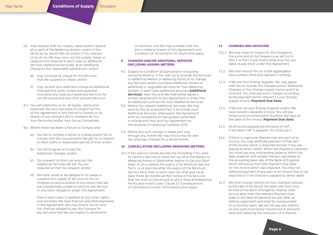- (d) may request that You supply, repair and/or replace all or part of the Metering System; and/or if You fail to do so, where We can and/or if You request Us to do so, We may carry out the supply, repair or replacement required in each case as additional services (Additional Services), at an Additional Charge to Our reasonable satisfaction; and/or
	- (e) may continue to charge for the Services that We suspend or cease; and/or
	- (f) may recover as a debt (and charge as Additional Charges) the costs, losses and expenses (including any costs and expenses We incur for our Personnel and any other person) We incur.
- 8.3. You will indemnify Us for all losses, claims and expenses We incur because of a breach by You of this Agreement or any Failure to Comply or by reason of any wrongful act or omission by You, Your Personnel and/or Your Group Companies.
- 8.4. Where there has been a Failure to Comply and:-
	- (a) You fail to remedy a failure or a delay and/or fail to comply with the requirements We ask for in relation to them within a reasonable period of time; and/or
	- (b) You fail to agree or to pay the Additional Charges; and/or
	- (c) You prevent Us from carrying out the Additional Services We tell You are required or that You request; and/or
	- (d) We have cause to be delayed or to cease or suspend Our supply of Services to You on multiple occasions and/or to the extent that We are substantially unable to perform any Service or any other obligation under this Agreement,

then in each case, in addition to any other rights and remedies We have that are specified elsewhere in this Agreement, We may invoice You for and You shall be obliged to pay the Charges for any Services that We are unable to commence

or continue; and We may consider that You are in material breach of this Agreement and Condition 15 (*Termination for Fault*) shall apply.

# **9 CHANGES AND/OR ADDITONAL SERVICES (INCLUDING ADDING METERS)**

- 9.1 Subject to Condition 10 (*Cancellation (including removing Meters*), if You wish Us to provide the Services to additional Meters or Metering Points or to change any Services and/or purchase additional meters or additional or upgraded Services for Your Metering System, in each case additional services (**Additional Services**), then You and We shall either agree a written amendment to this Agreement or enter into an additional contract for such Additional Services.
- 9.2. Where You request Additional Services, We may send to You an amended Part 3 to include such Additional Services, whereupon this Agreement shall be considered as having been amended in writing with Your and Our agreement for the purpose of satisfying Condition 27.8.
- 9.3. Where any such change is made part way through any month We may invoice You for and You shall pay Charges for a whole month.

# **10 CANCELLATION (INCLUDING REMOVING METERS)**

10.1 If You wish to Cancel any Service (including if You wish to Cancel a Service to some but not all of the Meters or Metering Points or Sites) either before its Service Start Date; or on or before the expiry of its Minimum Service Term; or at any time after the expiry of the Minimum Service Term then in each case You shall give Us at least three (3) months written notice of the Services that You wish to Cancel and at which Sites and Metering Points and in each case, Clause 17 (*Consequences of Cancellation and/or Termination*) shall apply.

# **11 CHARGES AND INVOICING**

- 111.1. We may issue an invoice for the Charges in the sums and at the frequency as set out in Part 1 or Part 3 and where otherwise You are liable to pay them under this Agreement.
- 11.2. We shall invoice You on a Site aggregated basis (unless otherwise agreed in writing).
- 11.3. If We are Your Energy Supplier, We may agree with You to include the Charges and/or Additional Charges in Your Energy supply invoice and if so invoiced, You shall pay such Charges according to the payment terms relevant to your Energy supply invoice (**Payment Due Date**).
- 11.4. If We are not your Energy Supplier and/or We have issued a separate invoice, You will pay those sums invoiced within fourteen (14) days of the date of the invoice (**Payment Due Date**).
- 11.5. All amounts payable are exclusive of VAT. If We deem VAT is payable, You shall pay it.
- 11.6. If there is a genuine dispute over any part of an invoice, You may withhold payment of that part of the invoice which is disputed (except if You are paying by direct debit). When the dispute is resolved, You must pay any outstanding balance within five days together with simple interest calculated at the prevailing base rate of the Bank of England, which will accrue from the Payment Due Date for the invoice which was disputed. You may not withhold payment of any part of an invoice that is not disputed or if the invoice is payable by direct debit.
- 11.7. We shall charge interest on Your overdue invoices at the rate of 6% above the base rate from time to time of the Bank of England. Interest shall accrue daily from the relevant Payment Due Date to the date of payment (as well after as before judgement) and shall be compounded on a monthly basis. We will not pay any interest on any sums incorrectly transferred or amounts returned following the resolution of a dispute.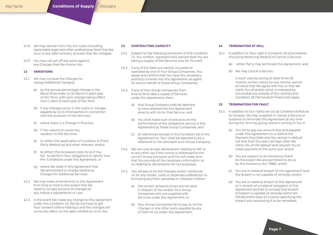- 11.8. We may recover from You Our costs (including reasonable legal and other professional fees) that We incur in any debt recovery process that We instigate.
- 11.9. You may not set-off any sums against any Charges that We invoice You.

# **12 VARIATIONS**

- 12.1 We may increase the Charges (or charge Additional Charges):
	- (a) by the annual percentage change in the Retail Price Index to 31 March in each year of the Term, with such change taking effect from 1 April of each year of the Term.
	- (b) if any changes occur in the costs or charges payable by Us to third parties in connection with the provision of the Services:
	- (c) where there is a Change in Practice;
	- (d) if You require or cause any variation to the Services;
	- (e) to reflect the application of Condition 5 (Third Party Meters) as and when relevant; and/or
	- (f) to reflect the increased costs to Us if You fail to perform Your obligations or satisfy Your Pre-Conditions under this Agreement; or
	- (g) where We state in this Agreement that We are entitled to charge Additional Charges for Additional Services.
- 12.2. We may make amendments to this Agreement from time to time to the extent that We need to, to take account of changes to any Industry Agreements or Law.
- 12.3. In the event We make any change to this Agreement under this Condition 12, We do not have to get Your consent before making it and the changes will come into effect on the date notified by Us to You.

# **13 CONTRACTING CAPACITY**

- 13.1 Subject to the following provisions of this Condition 13, You confirm, represent and warrant that You are taking a supply of the Services only for Yourself.
- 13.2. If any of the Sites are owned, occupied or operated by one of Your Group Companies, You agree and confirm that You have the necessary authority to enter into this Agreement as agent for and on behalf of those Group Companies.
- 13.3. If any of Your Group Companies from time to time take a supply of Services under this Agreement, then:-
	- (a) that Group Company shall be deemed to have entered into this Agreement directly with Us for that Service; and
	- (b) You shall make sure of and procure the performance of the obligations set out in this Agreement by those Group Companies; and
	- (c) all references (except in this Condition 13) in this Agreement to "You" shall be deemed to be a reference to You and each such Group Company.
- 13.4. We can only accept declarations relating to VAT or to any other tax if the invoice is addressed to the correct Group Company and You will make sure that You provide all the necessary information to Us relating to declarations for tax purposes.
- 13.5. You will pay to Us the Charges and/or reimburse Us for any losses, costs or expenses suffered by Us (including any fines, penalties or interest) if either:-
	- (a) the correct amounts of tax are not paid in respect of You and/or Your Group Companies who are supplied with Services under this Agreement; or
	- (b) Your Group Companies fail to pay to Us the Charges or any other sums payable by any of them to Us under this Agreement.

# **14 TERMINATION AT WILL**

- 14.1 In addition to Your right in Condition 10 (*Cancellation (Including Removing Meters*) to Cancel a Service:-
	- (a) either Party may terminate this Agreement; and
	- (b) We may Cancel a Service,

in each case by giving at least three (3) months written notice (or any shorter period of notice that We agree with You or that We notify You of and/or which is imposed by circumstances outside of Our control) and Condition 18 (Termination Fees) shall apply.

# **15 TERMINATION FOR FAULT**

- 15.1. In addition to Our rights set out at Condition 8 (Failure to Comply), We may suspend or Cancel a Service or suspend or terminate this Agreement at any time during the Term by giving notice in writing to You if:
	- (a) You fail to pay any amount due and payable under this Agreement on or before the Payment Due Date and You remain in default not less than fourteen (14) days after We notify You of the default and request You to make payment of the sums due; and/or
	- (b) You are subject to an Insolvency Event (to the extent We are permitted to do so by the Insolvency Act 1986); and/or
	- (c) You are in material breach of this Agreement (and the breach is not capable of remedy); and/or
	- (d) You are in material breach of this Agreement or in breach of a material obligation of this Agreement and fail to remedy that breach (if breach is capable of remedy) within ten (10) Business Days of a notice specifying the breach and requesting it to be remedied;

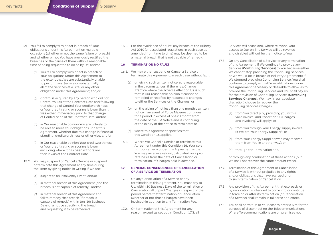- (e) You fail to comply with or act in breach of Your obligations under this Agreement on multiple occasions (whether or not the same failure or breach) and whether or not You have previously rectified the breaches or the cause of them within a reasonable time of being requested to do so by Us; and/or
	- (f) You fail to comply with or act in breach of Your obligations under this Agreement to the extent that We are substantially unable to perform any Service or substantially all of the Services at a Site; or any other obligation under this Agreement; and/or
	- (g) Control is acquired by any person who did not Control You as at the Contract Date and following that change of Control Your creditworthiness or Your credit rating or scoring is lower than it was either immediately prior to that change of Control or as of the Contract Date; and/or
	- (h) in Our reasonable opinion You are unlikely to be able to meet Your obligations under this Agreement, whether due to a change in financial standing, creditworthiness or otherwise; and/or
	- (i) in Our reasonable opinion Your creditworthiness or Your credit rating or scoring is lower (including where it has been withdrawn) than it was at the Contract Date.
- 15.2. You may suspend or Cancel a Service or suspend or terminate this Agreement at any time during the Term by giving notice in writing if We are:
	- (a) subject to an Insolvency Event; and/or
	- (b) in material breach of this Agreement (and the breach is not capable of remedy); and/or
	- (c) in material breach of this Agreement and fail to remedy that breach (if breach is capable of remedy) within ten (10) Business Days of a notice specifying the breach and requesting it to be remedied.

15.3. For the avoidance of doubt, any breach of the Bribery Act 2010 (or associated regulations in each case as amended from time to time) may be deemed to be a material breach that is not capable of remedy.

# **16 TERMINATION NO FAULT**

- 16.1. We may either suspend or Cancel a Service or terminate this Agreement, in each case without fault:
	- (a) on giving such written notice as is reasonable in the circumstances, if there is a Change in Practice where the adverse effect on Us is such that in Our reasonable opinion it cannot be remedied or rectified by reasonable changes to either the Services or the Charges; or
	- (b) on the giving of not less than one month's written notice if an event of Force Majeure continues for a period in excess of one (1) month from the date of the FM Notice and is continuing at the expiry of the notice to terminate; or
	- (c) where this Agreement specifies that this Condition 16 applies.
- 16.2. Where We Cancel a Service or terminate this Agreement under this Condition 16, Your sole right or remedy under this Agreement is that You may receive a refund, calculated on a prorata basis from the date of Cancellation or termination, of Charges paid in advance.

# **17 GENERAL CONSEQUENCES OF CANCELLATION OF A SERVICE OR TERMINATION**

- 17.1. On any Cancellation of a Service or any termination of this Agreement, You must pay to Us, within 30 Business Days of the termination or Cancellation all unpaid Charges in respect of the period before that termination or Cancellation (whether or not those Charges have been invoiced) in addition to any Termination Fee.
- 17.2. On termination of this Agreement for any reason, except as set out in Condition 17.3, all

Services will cease and, where relevant, Your access to Our on-line Service will be revoked and disabled without further notice to You.

- 17.3. On any Cancellation of a Service or any termination of this Agreement, if We continue to provide any Services (**Continuing Services**) to You because either We cannot stop providing the Continuing Services or We would be in breach of Industry Agreements if We stopped providing Continuing Service, You shall continue to comply with all Your obligations under this Agreement necessary or desirable to allow Us to provide the Continuing Services and You shall pay Us for the provision of Continuing Services (**Continuing Services Charges**). We may (in our absolute discretion) choose to recover the Continuing Services Charges:
	- (a) from You directly by providing you with a valid invoice (and Condition 11 (Charges and Invoicing) will apply); or
	- (b) from You through Your Energy supply invoice (if We are Your Energy Supplier); or
	- (c) from Your Energy Supplier (who may recover them from You in another way); or
	- (d) through the Termination Fee,

or through any combination of these actions (but We shall not recover the same amount twice).

- 17.4. Termination of this Agreement or Cancellation of a Service is without prejudice to any rights and/or obligations that have accrued prior to such termination or Cancellation.
- 17.5. Any provision of this Agreement that expressly or by implication is intended to come into or continue in force on or after its termination (or Cancellation of a Service) shall remain in full force and effect.
- 17.6. You shall permit Us at Your cost to enter a Site for the purpose of disconnecting the Telecommunications. Where Telecommunications are on premises not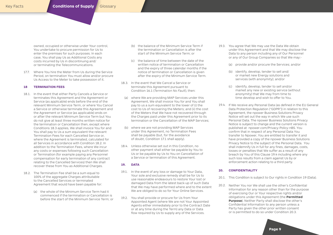owned, occupied or otherwise under Your control, You undertake to procure permission for Us to enter the premises for such purposes. In each case, You shall pay Us as Additional Costs any costs incurred by Us in discontinuing and/ or terminating the Telecommunications.

17.7. Where You hire the Meter from Us during the Service Period, on termination You must allow and/or procure Us Access to the Meter to take possession of it.

# **18 TERMINATION FEES**

- 18.1. In the event that either Party Cancels a Service or terminates this Agreement and the Agreement or Service (as applicable) ends before the end of the relevant Minimum Service Term, or where You Cancel a Service or otherwise terminate this Agreement and the Agreement or Service (as applicable) ends on or after the relevant Minimum Service Term but You do not give at least three months written notice for the termination or Cancellation then, except where Conditions 18.3 applies, We shall invoice You for and You shall pay to Us a sum equivalent the relevant Termination Fees for each Cancelled Service or, where the Agreement is terminated, calculated for all Services in accordance with Condition 18.2. In addition to the Termination Fees, where We incur any costs or expenses following such Cancellation or Termination (for example paying any Personnel compensation for early termination of any contract relating to the Cancelled Services) then We shall recover these from You as Additional Charges.
- 18.2. The Termination Fee shall be a sum equal to 100% of the aggregate Charges attributable to the Cancelled Services or terminated Agreement that would have been payable for:
	- (a) the whole of the Minimum Service Term had it commenced if the termination or Cancellation is before the start of the Minimum Service Term; or
- (b) the balance of the Minimum Service Term if the termination or Cancellation is after the start of the Minimum Service Term; or
- (c) the balance of time between the date of the written notice of termination or Cancellation and the expiry of three calendar months if the notice of termination or Cancellation is given after the expiry of the Minimum Service Term.
- 18.3. In the event that We Cancel a Service or terminate this Agreement pursuant to Condition 16.1 (*Termination No Fault*), then:
- (a) where We are providing MAP Services under this Agreement, We shall invoice You for and You shall pay to us a sum equivalent to the lower of (i) the cost to Us of recovering the Meters; and (ii) the cost of the Meters that We have not recovered through the Charges paid under this Agreement prior to its termination or the Cancellation of the MAP Services;
- (b) where we are not providing MAP Services under this Agreement, no Termination Fees shall be payable (but, for the avoidance of doubt, Condition 17.1 shall apply).
- 18.4. Unless otherwise set out in this Condition, no other payment shall either be payable by You to Us or be payable by Us to You on Cancellation of a Service or termination of this Agreement.

# **19. DATA**

- 19.1. In the event of any loss or damage to Your Data, Your sole and exclusive remedy shall be for Us to use reasonable endeavours to restore Your lost or damaged Data from the latest back-up of such Data that We may have performed where and to the extent We are obliged to do so for Your Online Services.
- 19.2. You shall provide or procure for Us from Your Appointed Agent (where We are not Your Appointed Agents either immediately prior to the Contract Date or at any time during the Term) any Data or Data flow required by Us to supply any of the Services.
- 19.3. You agree that We may use the Data We obtain under this Agreement and that We may disclose the Data to any person including any of Our Personnel or any of Our Group Companies so that We may:-
	- (a) provide and/or procure the Services; and/or
	- (b) identify, develop, tender to sell and/ or market new Energy solutions and services (with anonymity); and/or
	- (c) identify, develop, tender to sell and/or market any new or existing service (without anonymity) that We may from time to time develop and wish to offer to You.
- 19.4. If We receive any Personal Data (as defined in the EU General Data Protection Regulation ("GDPR")) in relation to this Agreement, the npower Business Solutions Privacy Notice will set out the way in which We use such Personal Data. The npower Business Solutions Privacy Notice is subject to change and the current version is published at npower.com/Privacy-Policy-nBS. You confirm that in respect of any Personal Data You transfer to Npower, You are entitled to transfer it and have provided a copy of the npower Business Solutions Privacy Notice to the subject of the Personal Data. You shall indemnify Us in full for any fines, damages, costs, losses or penalties that We suffer as a result of any breach by You of this Clause 19.4 including where any such loss results from a claim against Us by or enforcement action relating to a third party.

# **20. CONFIDENTIALITY**

- 20.1. This Condition is subject to Our rights in Condition 19 (Data).
- 20.2. Neither You nor We shall use the other's Confidential Information for any reason other than for the purpose of exercising Our or Your respective rights and/or obligations under this Agreement (the **Permitted Purpose**). Neither Party shall disclose the other's Confidential Information to any person unless a Party has given the other prior written consent or is permitted to do so under Condition 20.3.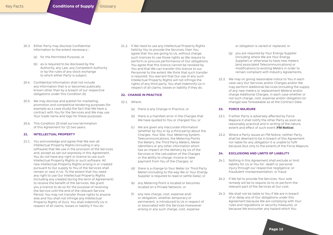- 20.3. Either Party may disclose Confidential Information to the extent necessary:-
	- (a) for the Permitted Purpose; or
	- (b) as is required to be disclosed by the Authority, any Law, any Competent Authority or by the rules of any stock exchange to which either Party is subject.
- 20.4. Confidential Information shall not include any information that is or becomes publically known other than by a breach of our respective obligations under this Condition 20.
- 20.5. We may disclose and publish for marketing, promotion and competitive tendering purposes (for example as a case study) the fact that We have a contract with You for the Services and We may use Your trade name and logo for these purposes.
- 20.6. This Condition 20 shall survive termination of this Agreement for (2) two years.

# **21. INTELLECTUAL PROPERTY**

21.1. You acknowledge and agree that We own all Intellectual Property Rights (including in any software) that We use in the provision of the Services and, except as set out expressly in this Agreement, You do not have any right or licence to use such Intellectual Property Rights or such software. All new Intellectual Property Rights arising in or created pursuant to Our supply to You of the Services shall remain or vest in Us. To the extent that You need any right to use Our Intellectual Property Rights (including any created during the term of Agreement) to receive the benefit of the Services, We grant you a licence to do so for the purpose of receiving the Service until the end of the relevant Service Period. You may not transfer those rights to anyone else and You shall not infringe any Intellectual Property Rights of Ours. You shall indemnify Us in respect of all claims, losses or liability if You do.

21.2. If We need to use any Intellectual Property Rights held by You to provide the Services, then You agree that You are giving to Us, without charge, such licences to use those rights as We require to perform or procure performance of Our obligations. You agree that this licence cannot be revoked by You and that We can transfer this licence to our Personnel to the extent We think that such transfer is required. You warrant that Our use of any such Intellectual Property Rights will not infringe the rights of any third party. You shall indemnify Us in respect of all claims, losses or liability if they do.

# **22. CHANGE IN PRACTICE**

- 22.1 Where:
	- (a) there is any Change in Practice; or
	- (b) there is a manifest error in the Charges that We have quoted to You or charged You; or
	- (c) We are given any inaccurate information (whether by You or by a third party) about the Charges, Your Site, Your Metering System Telecommunications, the Metering Points the Meters, the Third Party Meters, Meter Identifiers or any other information which has an impact on the delivery by Us of the Services or the calculation of the Charges or the ability to charge, invoice or take payment from You of the Charges; or
	- (d) there is a change to Your Meter (or Third Party Meter) (including to the way We or Your Energy Supplier is required to read or settle Data); or
	- (e) any Metering Point is located or becomes located on a Private Network; or
	- any new charge, cost, expense and/ or obligation, whether temporary or permanent, is introduced to Us in respect of or associated with the Services howsoever arising or any such charge, cost, expense

or obligation is varied or replaced, or

- (g) you are required by Your Energy Supplier (including where We are Your Energy Supplier) or otherwise to have new meters (and associated Telecommunications) or modifications to existing Meters in order to remain compliant with Industry Agreements.
- 22.2. We may on giving reasonable notice to You in each case vary Our Services and/or Charges and/or We may perform Additional Services (including the supply of any new meters or replacement Meters) and/or charge Additional Charges, in each case whether or not such charge, cost, expense and/or obligation (or change) was foreseeable as at the Contract Date.

# **23. FORCE MAJEURE**

- 23.1. If either Party is adversely affected by Force Majeure it shall notify the other Party as soon as reasonably practical and in writing of the nature, extent and effect of such event (**FM Notice**).
- 23.2. Where a Party issues an FM Notice, neither Party shall be deemed to be in breach of this Agreement nor liable for any obligation it is unable to fulfil because (but only to the extent) of the Force Majeure.

# **24. EXCLUSIONS AND LIMITS OF LIABILITY**

- 24.1. Nothing in this Agreement shall exclude or limit liability for Us or You for: death or personal injury through our respective negligence; or fraudulent misrepresentation; or fraud.
- 24.2. If We fail to provide the Services, Your sole remedy will be to require Us to re-perform the relevant part of the Services at Our cost.
- 24.3. We shall not be liable to You if We are in breach of or delay any of Our obligations under this Agreement because We are complying with Your rules and regulations or security measures; or because We encounter any hazard which You

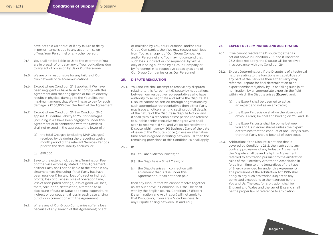have not told Us about; or if any failure or delay in performance is due to any act or omission of You, Your Personnel or any other person.

- 24.4. You shall not be liable to Us to the extent that You are in breach of or delay any of Your obligations due to any act of omission by Us or Our Personnel.
- 24.5. We are only responsible for any failure of Our own network or telecommunications.
- 24.6. Except where Condition 24.1 applies, if We have been negligent or have failed to comply with this Agreement and that negligence or failure directly results in physical damage to the Your Site, the maximum amount that We will have to pay for such damage is £250,000 over the Term of the Agreement.
- 24.7. Except where Condition 24.1 or Condition 24.6 applies, Our entire liability to You for damages (including if We have been negligent) under this Agreement or in connection with the Services shall not exceed in the aggregate the lower of :-
	- (a) the total Charges (excluding MAP Charges) received by Us during the preceding twelve month period of the relevant Services Periods prior to the date liability accrues; or
	- (b) £50,000.
- 24.8. Save to the extent included in a Termination Fee or otherwise expressly stated in this Agreement, neither Party shall not be liable to the other in any circumstances (including if that Party has have been negligent) for any: loss of direct or indirect profits; loss of business; loss of operation time, loss of anticipated savings, loss of good will; loss, theft, corruption, destruction, alteration to or disclosure of data or Data; additional expenditure; indirect or consequential loss in each case arising out of or in connection with the Agreement.
- 24.9. Where any of Our Group Companies suffer a loss because of any: breach of this Agreement; or act

or omission by You, Your Personnel and/or Your Group Companies, then We may recover such loss from You as an agent of Our Group Companies and/or Personnel and You may not contend that such loss is indirect or consequential by virtue only of it being suffered by a Group Company or by Personnel in its respective capacity as one of Our Group Companies or as Our Personnel.

# **25. DISPUTE RESOLUTION**

- 25.1. You and We shall attempt to resolve any disputes relating to this Agreement (Dispute) by negotiations between our respective representatives who have authority to so negotiate and settle the Dispute. If a Dispute cannot be settled through negotiations by such appropriate representatives then either Party may issue a notice in writing setting out full details of the nature of the Dispute (a Dispute Notice) and it shall (within a reasonable time period) be referred to suitable senior executive managers who shall seek to resolve it. If You and We do not resolve the Dispute within twenty (20) Business Days of the date of issue of the Dispute Notice (unless an alternative time scale is agreed in writing between us), then the remaining provisions of this Condition 25 shall apply.
- 25.2. If:
	- (a) You are a Microbusiness; or
	- (b) the Dispute is a Small Claim; or
	- (c) the Dispute arises in connection with an amount that is due under this Agreement but has not been paid,

then any Dispute that we cannot resolve together as set out above in Condition 25.1 shall be dealt with by the English courts. Condition 26 (Expert Determination and Arbitration) will not apply to that Dispute (or, if you are a Microbusiness, to any Dispute arising between Us and You).

# **26. EXPERT DETERMINATION AND ARBITRATION**

- 26.1. If we cannot resolve the Dispute together as set out above in Condition 25.1 and if Condition 25.2 does not apply, the Dispute will be resolved in accordance with this Condition 26:
- 26.2. Expert Determination: If the Dispute is of a technical nature relating to the functions or capabilities of any part of the Services then either Party may refer the Dispute for final determination to an expert nominated jointly by us or, failing such joint nomination, by an appropriate expert in the field within which the Dispute arises (**Expert**) and:
	- (a) the Expert shall be deemed to act as an expert and not as an arbitrator;
	- (b) the Expert's decision shall (in the absence of obvious error) be final and binding on You and Us;
	- (c) the Expert's costs shall be borne between You and Us in equal shares unless the Expert determines that the conduct of one Party is such that that Party should bear all of such costs.
- 26.3. Arbitration: If the Dispute is not one that is covered by Conditions 26.2, then subject to any contrary provisions of any Industry Agreement the Dispute shall be and is by this Agreement referred to arbitration pursuant to the arbitration rules of the Electricity Arbitration Association in force from time to time (regardless of the type of Energy provided for under this Agreement). The provisions of the Arbitration Act 1996 shall apply to any such arbitration subject to any permitted exceptions to them agreed by the You and Us. The seat for arbitration shall be England and Wales and the law of England shall be the proper law of reference to arbitration.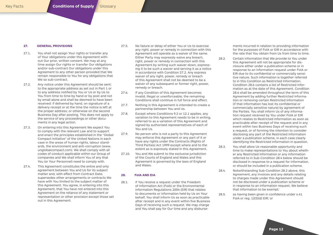# **27. GENERAL PROVISIONS**

- 27.1. You shall not assign Your rights or transfer any of Your obligations under this Agreement without Our prior, written consent. We may at any time assign Our rights or transfer Our obligations and/or sub-contract Our obligations under this Agreement to any other person provided that We remain responsible to You for any obligations that We so sub-contract.
- 27.2. Any notice under this Agreement should be sent: to the appropriate address as set out in Part 1 or to any address notified by You or Us or by Us to You from time to time by hand or by post and not by email alone and shall be deemed to have been received: if delivered by hand, on signature of a delivery receipt or at the time the notice is left at the proper address; or otherwise on the second Business Day after posting. This does not apply to the service of any proceedings or other documents in any legal action.
- 27.3. On entering into this Agreement We expect You to comply with the relevant Law and to support and enact the principles established in the "Global Compact Initiative" of the United Nations in each case in the areas of human rights, labour standards, the environment and anti-corruption (www. unglobalcompact.com). We shall comply with all codes of conduct applicable within our Group of companies and We shall inform You of any that You (or Your Personnel) need to comply with.
- 27.4. This Agreement constitutes the entire and only agreement between You and Us for its subject matter and, with effect from Contract Date, supersedes other arrangements or contracts We have with You limited to the subject matter of this Agreement. You agree, in entering into this Agreement, that You have not entered into this Agreement on the reliance of any statement or representation or other provision except those set out in this Agreement.
- 27.5. No failure or delay of either You or Us to exercise any right, power or remedy in connection with this Agreement will operate as a waiver of the same. Either Party may expressly waive any breach, right, power or remedy in connection with this Agreement by writing such waiver down, expressing it to be such a waiver and serving it as a notice in accordance with Condition 27.2. Any express waiver of any right, power, remedy or breach of this Agreement shall not be deemed to be a waiver of any subsequent or former right, power, remedy or breach.
- 27.6. If any Condition of this Agreement becomes invalid, illegal or unenforceable, the remaining Conditions shall continue in full force and effect.
- 27.7. Nothing in this Agreement is intended to create a partnership between You and Us.
- 27.8. Except where Conditions 9.2 or 12.1 applies, any variation to this Agreement needs to be in writing, referred to as a variation of this Agreement and signed by authorised representatives of each of You and Us.
- 27.9. No person who is not a party to this Agreement may enforce this Agreement or any part of it or have any rights under the Contracts (Rights of Third Parties) Act 1999 except where and to the extent as is expressly stated in this Agreement.
- 27.10. You and We submit to the exclusive jurisdiction of the Courts of England and Wales and this Agreement is governed by the laws of England and Wales.

# **28. FoIA AND EIA**

28.1. If You receive a request under the Freedom of Information Act (FolA) or the Environmental Information Regulations 2004 (EIR) that relates to documents or information held by Us on Your behalf, You shall inform Us as soon as practicable after receipt and in any event within five Business Days of receiving such a request. We may charge and You shall pay for Our time and any disbursements incurred in relation to providing information for the purposes of FolA or EIR in accordance with the rate that You obtain from Us from time to time.

28.2. Certain information that We provide to You under this Agreement will not be appropriate for disclosure either under a publication scheme or in response to an information request under FoIA or EIR due to its confidential or commercially sensitive nature. Such information is together referred to in this Condition as Restricted Information. Condition 28.6 contains a list of Restricted Information as at the date of this Agreement. Condition 28.6 shall be amended throughout the term of this Agreement by adding further Restricted Information or removing certain Restricted Information (if that information has lost its confidential or commercially sensitive nature) by agreement of the Parties. You shall inform Us of any information request received by You under FoIA or EIR which relates to Restricted Information as soon as practicable after receipt of the request and in any event within two Business Days of receiving such a request, or of forming the intention to consider disclosing any part of the Restricted Information under a publication scheme, in each case clearly identifying the Restricted Information in question.

- 28.3. You shall allow Us reasonable opportunity and time to make representations to You about whether any Restricted Information or any information referred to in Sub-Condition 28.4 below should be disclosed in response to a request for information, or should be included in a publication scheme.
- 28.4. Notwithstanding Sub-Condition 28.2 above, this Agreement, any invoices and any details relating to charges made under this Agreement should not be disclosed under a publication scheme or in response to an information request. We believe that information to be exempt:

28.5. as having been given in confidence under s.41 FoIA or reg. 12(5)(d) EIR; or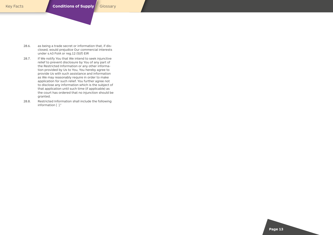- 28.6. as being a trade secret or information that, if disclosed, would prejudice Our commercial interests under s.43 FoIA or reg.12 (5)(f) EIR
- 28.7. If We notify You that We intend to seek injunctive relief to prevent disclosure by You of any part of the Restricted Information or any other information provided by Us to You, You hereby agree to provide Us with such assistance and information as We may reasonably require in order to make application for such relief. You further agree not to disclose any information which is the subject of that application until such time (if applicable) as the court has ordered that no injunction should be granted.
- 28.8. Restricted Information shall include the following information [ ]."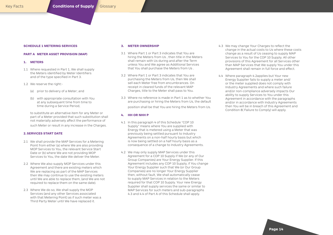### **SCHEDULE 1 METERING SERVICES**

# **PART A METER ASSET PROVISION (MAP)**

# **1. METERS**

- 1.1 Where requested in Part 1, We shall supply the Meters identified by Meter Identifiers and of the type specified in Part 3.
- 1.2 We reserve the right:-
	- (a) prior to delivery of a Meter; and
	- (b) with appropriate consultation with You at any subsequent time from time to time during a Service Period,

to substitute an alternative item for any Meter or part of a Meter provided that such substitution shall not materially adversely affect the performance of such Meter or result in any increase in the Charges.

# **2.SERVICES START DATE**

- 2.1 We shall provide the MAP Services for a Metering Point from either (a) where We are also providing MOP Services to You, the relevant Service Start Date or (b) where We are not providing MOP Services to You, the date We deliver the Meter.
- 2.2 Where We also supply MOP Services under this Agreement and there are existing meters which We are replacing as part of the MAP Services then We may continue to use the existing meters until We are able to replace them, (and We are not required to replace them on the same date).
- 2.3 Where We do so, We shall supply the MOP Services (and any other Services associated with that Metering Point) as if such meter was a Third Party Meter until We have replaced it.

# **3. METER OWNERSHIP**

- 3.1 Where Part 1 or Part 3 indicates that You are hiring the Meters from Us , then title in the Meters shall remain with Us during and after the Term unless You and We agree as Additional Services that You shall purchase the Meters from Us .
- 3.2 Where Part 1 or Part 3 indicates that You are purchasing the Meters from Us, then We shall sell each Meter free from encumbrances. On receipt in cleared funds of the relevant MAP Charges, title to the Meter shall pass to You.
- 3.3 Where no reference is made in Part 1 as to whether You are purchasing or hiring the Meters from Us, the default position shall be that You are hiring the Meters from Us.

### **4. HH OR NHH P**

- 4.1 In this paragraph 4 of this Schedule "COP 10 Supply" means where You are supplied with Energy that is metered using a Meter that was previously being settled pursuant to Industry Agreements on a non-half hourly basis but which is now being settled on a half hourly basis as a consequence of a change to Industry Agreements.
- 4.2 We may only supply MAP Services under this Agreement for a COP 10 Supply if We (or any of Our Group Companies) are Your Energy Supplier. If this Agreement includes any COP 10 Supply, if You change Your Energy Supplier such that We (or Our Group Companies) are no longer Your Energy Supplier then, without fault, We shall automatically cease to supply MAP Services in relation to the Meters required for that COP 10 Supply. Your new Energy Supplier shall supply services the same or similar to MAP Services for such meters and sub-paragraphs 4.3 and 4.4 of Part A of this Schedule shall apply.
- 4.3 We may change Your Charges to reflect the change in the actual costs to Us where these costs change as a result of Us ceasing to supply MAP Services to You for the COP 10 Supply. All other provisions of this Agreement for all Services other than MAP Services that We supply You under this Agreement shall remain in full force and effect.
- 4.4 Where paragraph 4.2applies but Your new Energy Supplier fails to supply a meter and/ or the meter supplied does not comply with Industry Agreements and where such failure and/or non-compliance adversely impacts Our ability to supply Services to You under this Agreement in accordance with the paragraphs and/or in accordance with Industry Agreements then You will be in breach of this Agreement and Condition 8( Failure to Comply) will apply.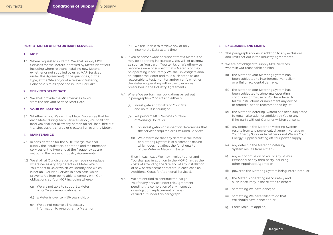### **PART B METER OPERATOR (MOP) SERVICES**

### **1. MOP**

1.1 Where requested in Part 1, We shall supply MOP Services for the Meters identified by Meter Identifiers including where relevant installing new Meters (whether or not supplied by us as MAP Services under this Agreement) in the quantities, of the type, at the Site and/or at a relevant Metering Point on a Site as specified in Part 1 or Part 3.

# **2. SERVICES START DATE**

2.1 We shall provide the MOP Services to You from the relevant Service Start Date.

# **3. YOUR OBLIGATIONS**

3.1 Whether or not We own the Meter, You agree that for each Meter during each Service Period, You shall not (and You shall not allow any person to) sell, loan, hire out, transfer, assign, charge or create a lien over the Meter.

# **4. MAINTENANCE**

- 4.1 In consideration for the MOP Charge, We shall supply the installation, operation and maintenance services of the type and at the frequency as are set out in the relevant Industry Agreements.
- 4.2 We shall, at Our discretion either repair or replace where necessary any defect in a Meter which You report to Us or which We identify and which is not an Excluded Service in each case which prevents Us from being able to comply with Our obligations as Your MOP including where:-
	- (a) We are not able to support a Meter or its Telecommunications; or
	- (b) a Meter is over ten (10) years old; or
	- (c) We do not receive all necessary information to re-program a Meter; or
- (d) We are unable to retrieve any or only incomplete Data at any time.
- 4.3 If You become aware or suspect that a Meter is or may be operating inaccurately, You will let us know as soon as You can. If You tell Us or We otherwise become aware or suspect that a Meter is or may be operating inaccurately We shall investigate and/ or inspect the Meter and take such steps as are reasonable to test, monitor and/or verify whether the Meter is operating within the tolerances prescribed in the Industry Agreements.
- 4.4 Where We perform our obligations as set out in paragraphs 4.2 or 4.3 and either :-
	- (a) investigate and/or attend Your Site and no fault is found; or
	- (b) We perform MOP Services outside of Working Hours; or
	- (c) on investigation or inspection determines that the services required are Excluded Services,
	- (d) We determine that any defect in the Meter or Metering System is of a cosmetic nature which does not affect the functionality of the Meter or Metering System,

then in each case We may invoice You for and You shall pay in addition to the MOP Charges the costs of attending the Site and of any installation of new or replacement Meters (in each case as Additional Costs for Additional Services).

4.5 We are entitled to continue to Charge You for any Service under this Agreement pending the completion of any inspection investigation, replacement or repair carried out under this paragraph.

### **5. EXCLUSIONS AND LIMITS**

- 5.1 This paragraph applies in addition to any exclusions and limits set out in the Industry Agreements.
- 5.2 We are not obliged to supply MOP Services where in Our reasonable opinion:
	- (a) the Meter or Your Metering System has been subjected to interference, vandalism or wilful or accidental damage;
	- (b) the Meter or Your Metering System has been subjected to abnormal operating conditions or misuse or You have failed to follow instructions or implement any advice or remedial action recommended by Us;
	- (c) the Meter or Metering System has been subjected to repair, alteration or addition by You or any third party without Our prior written consent;
	- (d) any defect in the Meter or Metering System results from any power cut, change in voltage or Your Energy Supplier (whether or not We are Your Energy Supplier) cutting off Your power supply;
	- (e) any defect in the Meter or Metering System results from either:-
	- (i) any act or omission of You or any of Your Personnel or any third party including other Appointed Agents; or
	- (ii) power to the Metering System being interrupted; or
	- (f) the Meter is operating inaccurately and such inaccuracy is not related to either:
	- (i) something We have done; or
	- (ii) something We have failed to do that We should have done; and/or
	- (g) Force Majeure applies,

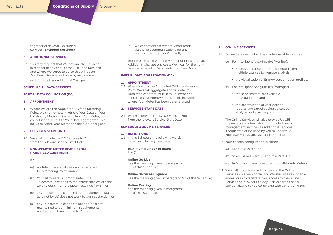together or severally excluded services **(Excluded Services).**

# **6. ADDITIONAL SERVICES**

6.1 You may request that We provide the Services in respect of any or all of the Excluded Services and where We agree to do so this will be an Additional Service and We may invoice You and You shall pay Additional Charges.

# **SCHEDULE 2 DATA SERVICES**

# **PART A DATA COLLECTION (DC)**

### **1. APPOINTMENT**

1.1 Where We are the Appointed DC for a Metering Point, We shall remotely retrieve Your Data on Your half-hourly Metering Systems from Your Meter, collect it and send it to Your Data Aggregator. This includes where Your Meter has been de-energised.

# **2. SERVICES START DATE**

2.1 We shall provide the DC Services to You from the relevant Service Start Date.

# **3. NON-REMOTE METER READS FROM HAND HELD EQUIPMENT**

- 3.1 If :-
	- (a) no Telecommunications can be installed for a Metering Point; and/or
	- (b) You fail to install and/or maintain the Telecommunications to the extent that We are not able to obtain remote Meter readings from it; or
	- (c) any Telecommunication related equipment installed (and not by Us) does not work to Our satisfaction; or
	- (d) any Telecommunications is not and/or is not maintained to our minimum requirements notified from time to time to You; or

(e) We cannot obtain remote Meter reads via the Telecommunications for any reason other than for Our fault,

then in each case We reserve the right to charge as Additional Charges any costs We incur for the nonremote retrieval of Data reads from Your Meter.

# **PART B DATA AGGREGATION (DA)**

### **1. APPOINTMENT**

1.1 Where We are the Appointed DA for a Metering Point, We shall aggregate and validate Your Data received from Your Data Collector and send it to Your Energy Supplier. This includes where Your Meter has been de-energised.

# **2. SERVICES START DATE**

2.1 We shall provide the DA Services to You from the relevant Service Start Date.

### **SCHEDULE 3 ONLINE SERVICES**

### **1. DEFINITIONS**

1.1 In this Schedule the following words have the following meanings:

### **Maximum Number of Users** five (5);

### **Online Go Live**

has the meaning given in paragraph 3.2 of this Schedule;

# **Online Services Upgrade**

has the meaning given in paragraph 9.1 of this Schedule;

# **Online Testing**

has the meaning given in paragraph 3.1 of this Schedule;

# **2. ON-LINE SERVICES**

- 2.1 Online Services that will be made available include:-
	- (a) For Intelligent Analytics (IA) (Monitor):
		- Energy consumption Data collected from multiple sources for remote analysis;
		- the visualisation of Energy consumption profiles;
	- (b) For Intelligent Analytics (IA) (Manager):
		- the services that are available for IA (Monitor): and
		- the construction of user defined reports and targets using advanced analysis and alarming; and

The Online Services will also provide Us with the necessary information to provide Energy management services as Additional Services if requested or be used by You to undertake Your own Energy analysis and reporting.

- 2.2 Your chosen configuration is either:
	- (a) set out in Part 1; or
	- (b) (if You have a Part 3) set out in Part 3; or
	- (c) IA Monitor, if you have only non-half-hourly Meters.
- 2.3 We shall provide You with access to the Online Services via a web portal and We shall use reasonable endeavours to facilitate Your access to the Online Services on a 24 hours a day, 7 days a week basis subject always to You complying with Condition 4.1(i).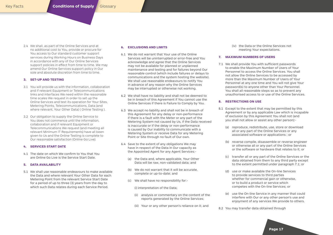2.4 We shall, as part of the Online Services and at no additional cost to You, provide or procure for You access to Our standard customer support services during Working Hours on Business Days in accordance with any of Our Online Services support policies in effect from time to time. We may amend Our Online Services support policy in Our sole and absolute discretion from time to time.

# **3. SET-UP AND TESTING**

- 3.1 You will provide us with the information, collaboration and if relevant Equipment or Telecommunications links and interfaces We need within the reasonable time scales We request in order to set up the Online Services and test its operation for Your Sites, Metering Points, Telecommunications, Data (and where relevant, Your Other Data) ( Online Testing ).
- 3.2 Our obligation to supply the Online Service to You does not commence until the information, collaboration and if relevant Equipment or Telecommunications We request (and meeting all relevant Minimum IT Requirements) have all been given to Us and the Online Testing is complete to Our reasonable satisfaction (Online Go Live).

# **4. SERVICES START DATE**

4.1 The date on which We confirm to You that You are Online Go Live is the Service Start Date.

# **5. DATA AVAILABILITY**

5.1 We shall use reasonable endeavours to make available the Data and where relevant Your Other Data for each Metering Point from the relevant Service Start Date for a period of up to three (3) years from the day to which such Data relates during each Service Period.

# **6. EXCLUSIONS AND LIMITS**

- 6.1 We do not warrant that Your use of the Online Services will be uninterrupted or error-free and You acknowledge and agree that the Online Services may not be available for planned or unplanned maintenance and testing and for failures beyond Our reasonable control (which include failures or delays to communications and the system hosting the website). We shall use reasonable endeavours to notify You in advance of any reason why the Online Services may be interrupted or otherwise not working.
- 6.2 We shall have no liability and shall not be deemed to be in breach of this Agreement if You cannot use the Online Services if there is Failure to Comply by You.
- 6.3 We accept no liability and shall not be in breach of this Agreement for any delay or non-performance if there is a fault with the Meter or any part of the Metering System not caused by Us, if the Data received is inaccurate or if the delay or non-performance is caused by Our inability to communicate with a Metering System or receive Data for any Metering Point or Site through no fault of Our own.
- 6.4 Save to the extent of any obligations We may have in respect of the Data in Our capacity as the Appointed Agent for any Agent Services:-
	- (a) the Data and, where applicable, Your Other Data will be raw, non-validated data; and
	- (b) We do not warrant that it will be accurate, complete or up-to-date; and
	- (c) We shall have no responsibility for:-
		- (i) interpretation of the Data;
		- (ii) analysis or commentary on the content of the reports generated by the Online Services;
		- (iii) Your or any other person's reliance on it; and

(iv) the Data or the Online Services not meeting Your expectations.

# **7. MAXIMUM NUMBERS OF USERS**

7.1 We shall provide You with sufficient passwords to enable the Maximum Number of Users of Your Personnel to access the Online Services. You shall not allow the Online Services to be accessed by more than the Maximum Number of Users of Your Personnel at any one time and You will not give Your password(s) to anyone other than Your Personnel. You shall all reasonable steps so as to prevent any unauthorised access to or use of the Online Services.

# **8. RESTRICTIONS ON USE**

- 8.1 Except to the extent that may be permitted by this Agreement or by any applicable Law which is incapable of exclusion by this Agreement You shall not (and you shall not allow or assist any other person):-
	- (a) reproduce, redistribute, use, store or download all or any part of the Online Services or any associated software or applications ; or
	- (b) reverse compile, disassemble or reverse engineer or otherwise all or any part of the Online Services or the software or hardware that relates to it; or
	- (c) transfer all or any part of the Online Services or the data obtained from them to any third party except to the extent permitted under paragraph 7.1; or
	- (d) use or make available the On-line Services to provide services to third parties whether for commercial gain or otherwise, or to build a product or service which competes with the On-line Services; or
	- (e) use the On-line Service in any manner that could interfere with Our or any other person's use and enjoyment of any services We provide to others.
- 8.2 You may transfer data obtained through

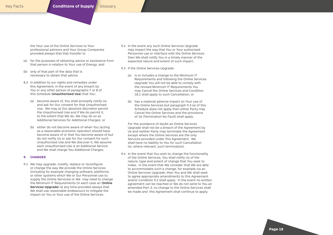the Your use of the Online Services to Your professional advisors and Your Group Companies provided always that that transfer is:

- (a) for the purposes of obtaining advice or assistance from that person in relation to Your use of Energy; and
- (b) only of that part of the data that is necessary to obtain that advice.
- 8.3 In addition to our rights and remedies under this Agreement, in the event of any breach by You or any other person of paragraphs 7 or 8 of this Schedule (**Unauthorised Use**) that You:
	- (a) become aware of, You shall promptly notify Us and ask for Our consent for that Unauthorised Use. We may at Our absolute discretion permit the Unauthorised Use and if We do permit it, to the extent that We do, We may do so as Additional Services for Additional Charges: or
	- (b) either do not become aware of when You (acting as a reasonable economic operator) should have become aware of or that You become aware of but do not notify Us or ask for Our consent for such Unauthorised Use and We discover it, We assume each Unauthorised Use is an Additional Service and We shall charge You Additional Charges.

# **9. CHANGES**

9.1 We may upgrade, modify, replace or reconfigure or change the way We provide the Online Services (including for example changing software, platforms or other systems which We or Our Personnel use to supply the Online Services) or We may need to change the Minimum IT Requirements (in each case an (**Online Services Upgrade**) at any time provided always that We shall use reasonable endeavours to mitigate the impact on You or Your use of the Online Services. .

- 9.2 In the event any such Online Services Upgrade may impact the way that You or Your authorised Personnel use or interface with the Online Services then We shall notify You in a timely manner of the expected nature and extent of such impact.
- 9.3 If the Online Services Upgrade:
	- (a) is or includes a change to the Minimum IT Requirements and following the Online Services Upgrade You will not be able to comply with the revised Minimum IT Requirements You may Cancel the Online Services and Condition 18.1 shall apply to such Cancellation; or
	- (b) has a material adverse impact on Your use of the Online Services but paragraph 9.3 (a) of this Schedule does not apply then either Party may Cancel the Online Services and the provisions of 16 (Termination No Fault) shall apply.

For the avoidance of doubt an Online Services Upgrade shall not be a breach of the Agreement by Us and neither Party may terminate the Agreement except where the Online Services are the only Services provided under this Agreement. We shall have no liability to You for such Cancellation (or, where relevant, such termination).

9.4 In the event that You wish to change the functionality of the Online Services, You shall notify Us of the nature, type and extent of change that You seek to make. In the event that We consider that We are able to accommodate such a change, for example via an Online Services Upgrade, then You and We shall seek to agree appropriate amendments to this Agreement and/or Condition 9.2 shall apply. In the event no written agreement can be reached or We do not send to You an amended Part 3, no change to the Online Services shall be made and this Agreement shall continue to apply.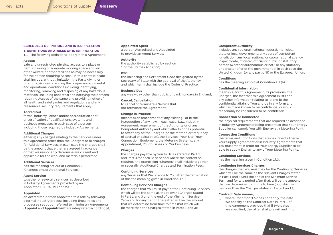### **SCHEDULE 4 DEFINITIONS AND INTERPRETATION**

#### **1. DEFINITIONS AND RULES OF INTERPRETATION**

1.1 The following definitions apply in this Agreement:

### **Access**

safe and unrestricted physical access to a place or item, including of adequate working space and such other welfare or other facilities as may be necessary for the person requiring Access. In this context, "safe" shall include, without limitation, the Party giving or procuring Access providing the proper environmental and operational conditions including identifying, monitoring, removing and disposing of any hazardous materials (including asbestos) and notifying the persons requiring Access of the same and providing notice of all health and safety rules and regulations and any reasonable security requirements that apply;

### **Accredited**

formal industry licence and/or accreditation and/ or certification of qualifications, systems and business processes in each case of a person including those required by Industry Agreements;

### **Additional Charges**

either a) any charges relating to the Services under this Agreement other than the Charges; or b) charges for Additional Services, in each case the charges shall be the amount that either are agreed in advance or that We reasonably determine are current and applicable for the work and materials performed;

# **Additional Services**

has the meaning set out at Condition 9 (Changes and/or Additional Services);

### **Agent Service**

together or severally services as described in Industry Agreements provided by an Appointed DC, DA, MOP or MAP;

#### **Appointed**

an Accredited person appointed to a role by following a formal industry process including those roles and processes set out or referred to in Industry Agreements (**Appoint** and **Appointment** are interpreted accordingly);

### **Appointed Agent**

a person Accredited and Appointed to provide an Agent Service;

# **Authority**

the authority established by section 1 of the Utilities Act 2000;

# **BSC**

the Balancing and Settlement Code designated by the Secretary of State with the approval of the Authority and which term shall include the Codes of Practice;

### **Business Day**

any week-day other than public or bank holidays in England;

# **Cancel, Cancellation**

to cancel or terminate a Service (but not terminate the Agreement);

### **Change in Practice**

means: a) an amendment of any existing; or b) the introduction of any new in each case: Law, Industry Agreement, requirement of the Authority or of any Competent Authority and which affects or has potential to affect any of: the Charges (or the method or frequency of accrual or calculation), the Services, Your Site, Your Connection, Equipment, the Metering Systems, any Appointment, Your business or Our business;

#### **Charges**

the charges payable by You to Us as stated in Part 1 and Part 3 for each Service and where the context so requires, the expression "Charges" shall include together or severally Additional Charges and Termination Fees;

### **Continuing Services**

any Services that We provide to You after the termination of this the meaning given in Condition 17.3;

# **Continuing Services Charges**

the charges that You must pay for the Continuing Services which will be the same as the relevant Charges stated in Part 1 and 3 until the end of the Minimum Service Term and for any period thereafter, will be the amount that we determine from time to time (but which will be more than the Charges stated in Parts 1 and 3);

## **Competent Authority**

includes any regional, national, federal, municipal, state or local government; any court of competent jurisdiction; any local, national or supra national agency, inspectorate, minister, official or public or statutory person (whether autonomous or not); or any statutory undertaker of or of the government of in each case the United Kingdom (or any part of it) or the European Union;

## **Conditions**

has the meaning set out at Condition 2.1 (b):

#### **Confidential Information**

means:- a) for this Agreement, its provisions, the Charges, the fact that this Agreement exists and any other information relating to it; and b) the confidential affairs of You and Us in any form and which is made known to be confidential or would reasonably be considered to be confidential;

# **Connection or Connected**

the physical requirements that are required as described in Industry Agreements being present so that Your Energy Supplier can supply You with Energy at a Metering Point

# **Connection Conditions**

the terms and conditions that are described either in Your Supply Agreement or in Industry Agreements that You must meet in order for Your Energy Supplier to be able to supply Energy to any of Your Metering Points;

#### **Continuing Services**

has the meaning given in Condition 17.3;

### **Continuing Services Charges**

the charges that You must pay for the Continuing Services which will be the same as the relevant Charges stated in Part 1 and 3 until the end of the Minimum Service Term and for any period after that, will be the amount that we determine from time to time (but which will be more than the Charges stated in Parts 1 and 3);

### **Contract Date means,**

(i) where Condition 3.6 does not apply, the date We specify as the Contract Date in Part 1 of this Agreement provided that if two dates are specified, the latter shall prevail, and if no



# **[Glossary](#page-19-0)**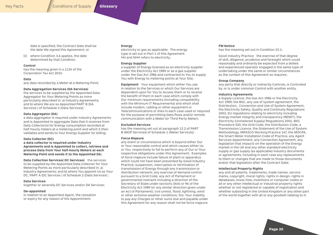<span id="page-19-0"></span>date is specified, the Contract Date shall be the date We signed this Agreement; or

(ii) where Condition 3.6 applies, the date determined by that Condition.

# **Control**

has the meaning given in s.1124 of the Corporation Tax Act 2010.

#### **Data**

any data recorded by a Meter at a Metering Point;

#### **Data Aggregation Services (DA Services)**

the services to be supplied by the Appointed Data Aggregator for Your Metering Points as more particularly described in: a) Industry Agreements; and b) where We are so Appointed PART B (DA Services ) of Schedule 2 (Data Services);

### **Data Aggregator (DA)**

a data aggregator is required under Industry Agreements and is Appointed to aggregate Data that it receives from Data Collector(s) for Energy consumption recorded at half-hourly meters at a metering point and which it then validates and sends to Your Energy Supplier for billing;

# **Data Collector (DC)**

**a data collector is required under Industry Agreements and is Appointed to collect, retrieve and process Data from Your half-hourly Meters at each Metering Point and sends it to the Appointed DA;**

**Data Collection Services( DC Services)** the services to be supplied by the Appointed Data Collector for Your Metering Points as more particularly described in: a) Industry Agreements; and b) where You appoint Us as Your DC, PART A (DC Services ) of Schedule 2 (Data Services) ;

### **Data Services**

together or severally DC Services and/or DA Services;

### **De-appointed**

in relation to an Appointed Agent, the cessation or expiry for any reason of the Appointment;

#### **Energy**

electricity or gas as applicable. The energy type is set out in Part 1 of this Agreement. HH and NHH refers to electricity;

### **Energy Supplier**

a supplier of Energy licensed as an electricity supplier under the Electricity Act 1989 or as a gas supplier under the Gas Act 1986 and contracted to You to supply You with Energy to metering points at Your Site;

**Equipment** Your equipment which either You use in relation to the Services or which Our Services are dependent upon for You to Access them or to receive the benefit of them in each case which comply with Our minimum requirements (including compatibility with the Minimum IT Requirements) and which shall include modem, cabling or other equipment or Telecommunications or links in each case used or required for the purpose of permitting Data flows and/or remote communication with a Meter (or Third Party Meter);

# **Excluded Services**

has the meaning set out at paragraph 12.2 of PART B (MOP Services) of Schedule 1 (Meter Services);

#### **Force Majeure**

any event or circumstance which is beyond either Our or Your reasonable control and which causes either Us or You respectively to fail to perform any of Our or Your respective obligations under this Agreement. Examples of force majeure include failure of plant or apparatus which could not have been prevented by Good Industry Practice; suspension, interruption or termination of transmission of Energy through any transmission or distribution network; any exercise of demand control pursuant to a Grid Code; any Act of Parliament or governmental restraint including a direction of the Secretary of State under sections 34(4) or 96 of the Electricity Act 1989 (or any similar direction given under an Act of Parliament); civil unrest, flood, lightning, wind or other extreme weather conditions, fire. Your inability to pay any Charges or other sums due and payable under this Agreement for any reason shall not be force majeure.

#### **FM Notice**

has the meaning set out in Condition 23.1;

Good Industry Practice the exercise of that degree of skill, diligence, prudence and foresight which could reasonably and ordinarily be expected from a skilled and experienced operator engaged in the same type of undertaking under the same or similar circumstances as the context of this Agreement so requires;

#### **Group Company**

any party that directly or indirectly Controls, is Controlled by, or is under common Control with another entity.

# **Industry Agreements**

a Supply Licence, the Gas Act 1986 or the Electricity Act 1989, the BSC, any use of system agreement, the Distribution, Connection and Use of System Agreement, the Electricity Safety, Quality and Continuity Regulations 2002, EU regulations relating to electricity including Energy market integrity and transparency (REMIT), the Electricity (Unmetered Supply) Regulations 2001, BSC Procedure 520, the Grid Code, the Distribution Code, a Transmission Licence, the Statement of the Use of System Methodology, MRASCO Working Practice 147, the MOCPA, the Smart Meter Installation Code of Practice, any Agent Services Appointment, any Connection Agreement, any legislation that impacts on the operation of the Energy market in the UK and any other standard electricity supply or gas supply (as applicable) industry documents or agreements, including in each case any replacements to them or changes that are made to those documents and/or that legislation after the Contract Date;

### **Intellectual Property Rights**

any and all patents, trademarks, trade names, service marks, copyright, moral rights, rights in design, rights in databases, know-how, inventions or computer codes or all or any other intellectual or industrial property rights whether or not registered or capable of registration and whether subsisting in the United Kingdom or any other part of the world together with all or any goodwill relating to it;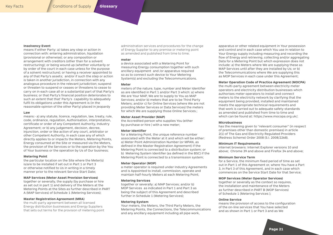# **Insolvency Event**

means if either Party: a) takes any step or action in connection with: entering administration, liquidation (provisional or otherwise); or any composition or arrangement with creditors (other than for a solvent restructuring); or being wound up (whether voluntarily or by order of the court in each case unless for the purpose of a solvent restructure); or having a receiver appointed to any of that Party's assets; and/or if such the step or action is taken in another jurisdiction, in connection with any analogous procedure in the relevant jurisdiction; suspend or threaten to suspend or ceases or threatens to cease to carry on in each case all or a substantial part of that Party's business; or that Party's financial position deteriorates to such an extent that that' Party's capability to adequately fulfil its obligations under this Agreement is (in the reasonable opinion of the other Party) placed in jeopardy

### **Law**

means:- a) any statute, licence, regulation, law, treaty, rule, code, ordinance, regulation, Authorisation, interpretation, certificate or order of any Competent Authority, Industry Agreement; or b) any judgement, decision, decree, injunction, order or like action of any court, arbitrator or other Competent Authority, in each case any of which directly applies to or impacts the Meters, Metering Points, Energy consumed at the Site or measured via the Meters, the provision of the Services or to the operation by the You of Your business or the operation by Us of Our business;

#### **Metering Point**

the particular location on the Site where the Meter(s) is/are to be installed if set out in Part 1 or Part 3 or otherwise notified to Us in writing in a timely manner prior to the relevant Service Start Date;

# **MAP Services (Meter Asset Provision Services)**

together or severally, the supply (by purchase or hire as set out in part 1) and delivery of the Meters at the Metering Points at the Sites as further described in PART A (MAP Services) of Schedule 1 (Metering Services);

### **Master Registration Agreement (MRA)**

the multi-party agreement between all licensed Energy distribution businesses and Energy Suppliers that sets out terms for the provision of metering point administration services and procedures for the change of Energy Supplier to any premise or metering point as amended and published from time to time;

## **meter**

a device associated with a Metering Point for measuring Energy consumption together with such ancillary equipment and /or apparatus required so as to connect such device to Your Metering System(s) and excluding the Telecommunications.

### **Meter**

meters of the nature, type, number and Meter Identifier as are identified in Part 1 and/or Part 3 which: a) where We are Your MAP, We are to supply to You as MAP Services; and/or b) meters that are to be Third Party Meters; and/or c) for Online Services (where We are not providing Meter Services or Data Services) the meters for which We are supplying those Online Services.;

### **Meter Asset Provider (MAP)**

the Accredited person who supplies You (either by purchase or hire ) with a new meter;

#### **Meter Identifier**

for a Metering Point, the unique reference number associated with the Meter at it and which will be either: a) Meter Point Administration Number (or MPAN, as defined in the Master Registration Agreement) if the Metering Point is connected to a distribution system; or b) Metering System Identifier (as defined in the BSC) if the Metering Point is connected to a transmission system;

### **Meter Operator (MOP)**

a meter operator is required under Industry Agreements and is Appointed to install, commission, operate and maintain half-hourly Meters at each Metering Point;

#### **Metering Services**

together or severally: a) MAP Services; and/or b) MOP Services as indicated in Part 1 and Part 3 as being the subject of this Agreement and described further in Schedule 1 (Metering Services);

#### **Metering System**

Your meters, the Meters, the Third Party Meters, the Metering Points, the Connections, the Telecommunications and any ancillary equipment including all pipe work,

apparatus or other related equipment in Your possession and control and in each case which You use in relation to Your Energy supply including measuring and recording the flow of Energy and retrieving, collecting and/or aggregating Data for a Metering Point but which expression does not include: a) the Meters where We are supplying these as MAP Services until after they are installed by Us; or b) the Telecommunications where We are supplying this as MOP Services in each case under this Agreement;

# **Meter Operation Code of Practice Agreement (MOCPA)**

the multi-party agreement between electricity meter operators and electricity distribution businesses which authorises meter operators to install and connect meters to the electricity network by clarifying that the equipment being provided, installed and maintained meets the appropriate technical requirements and that work is carried out to adequate safety standards as amended and published from time to time and which can be found at: https://www.mocopa.org.uk/;

### **Microbusiness**

has the meaning given to "relevant consumer" (in respect of premises other than domestic premises) in article 2(1) of The Gas and Electricity Regulated Providers (Redress Scheme) Order 2008 (S.I. 2008/2268).

#### **Minimum IT Requirements**

internet browsers: Internet Explorer versions 10 and above; Chrome 39 and above and Firefox 34 and above;

#### **Minimum Service Term**

for a Service, the minimum fixed period of time as set out in Part 1 of this Agreement or, where You have a Part 3, in Part 3 of this Agreement, and in each case which commences on the Service Start Date for that Service;

# **MOP Services (Meter Operator Services)**

together or severally as the context so requires, the installation and maintenance of the Meters as further described in PART B (MOP Services) of Schedule 1 (Metering Services );

#### **Online Service**

means the provision of access to the configuration of the on-line services that You have selected and as shown in Part 1 or Part 3 and as We

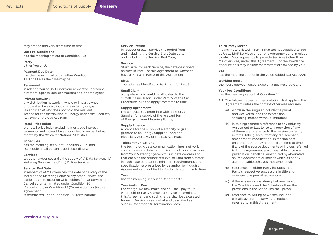may amend and vary from time to time;

**Our Pre-Conditions** has the meaning set out at Condition 4.2;

**Party** either You or Us;

**Payment Due Date**  has the meaning set out at either Condition 11.3 or 11.4 as the case may be;

### **Personnel**

in relation You or Us, Our or Your respective personnel, directors, agents, sub-contractors and/or employees;

### **Private Network**

any distribution network in whole or in part owned or operated by a distributor of electricity or gas (as applicable) who does not hold the relevant licence for the distribution of Energy under the Electricity Act 1989 or the Gas Act 1986;

### **Retail Price Index**

the retail price index excluding mortgage interest payments and indirect taxes published in respect of each month by the Office for National Statistics;

# **Schedules**

has the meaning set out at Condition 2.1 (c) and "Schedule" shall be construed accordingly;

### **Services**

together and/or severally the supply of a) Data Services; b) Metering Services ; and/or c) Online Services:

### **Service End Date**

in respect of a) MAP Services, the date of delivery of the Meter to the Metering Point; b) any other Service, the earliest date to occur on which either: (i) that Service is Cancelled or terminated under Condition 10 (Cancellation) or Condition 15 (Termination); or (ii) this Agreement

is terminated under Condition 15 (Termination);

### **Service Period**

in respect of each Service the period from and including the Service Start Date up to and including the Service End Date;

### **Service**

Start Date for each Service, the date described as such in Part 1 of this Agreement or, where You have a Part 3, in Part 3 of this Agreement.

# **Sites**

Your sites as identified in Part 1 and/or Part 3;

# **Small Claim**

a dispute which would be allocated to the "Small Claims Track" under Part 27 of the Civil Procedure Rules as apply from time to time.

### **Supply Agreement**

the contract You enter into with an Energy Supplier for a supply of the relevant form of Energy to Your Metering Points;

### **Supply Licence**

a licence for the supply of electricity or gas granted to an Energy Supplier under the Electricity Act 1989 or the Gas Act 1986;

# **Telecommunications**

the technology, data communication lines, network connections and telecommunications links and access from Your Metering System to Our data centres and that enables the remote retrieval of Data from a Meter in each case pursuant to minimum requirements and specification(s) prescribed by Us and/or by Industry Agreements and notified to You by Us from time to time;

# **Term**

has the meaning set out at Condition 3.1;

# **Termination Fee**

the charge We may make and You shall pay to Us where either Party Cancels a Service or terminate this Agreement and such charge shall be calculated for each Service as set out at and described as such in Condition 18 (Termination Fees).

# **Third Party Meter**

means meters listed in Part 3 that are not supplied to You by Us as MAP Services under this Agreement and in relation to which You request Us to provide Services (other than MAP Services) under this Agreement. For the avoidance of doubt, this may include meters that are owned by You;

### **VAT**

has the meaning set out in the Value Added Tax Act 1994;

### **Working Hours**

the hours between 08:00-17:00 on a Business Day; and

# **Your Pre-Conditions**

has the meaning set out at Condition 4.1.

- 1.2 The following rules of interpretation shall apply in this Agreement unless the context otherwise requires:
	- (a) words in the singular include the plural and vice versa, and the expression 'including' means without limitation;
	- (b) in this Agreement a reference to any Industry Agreement or Law (or to any provision of any of them) is a reference to the version currently in force, taking account of any replacement, amendment, modification, extension or reenactment that may happen from time to time. If any of the source documents or indices referred to in this Agreement are unavailable or cease publication it shall be substituted by alternative source documents or indices which as nearly as practicable achieves the same result.
	- (c) references to either Party includes that Party's respective successors in title and/ or respective permitted assigns;
	- (d) if there is an inconsistency between any of the Conditions and the Schedules then the provisions in the Schedules shall prevail.
	- (e) reference to writing or written includes e-mail save for the serving of notices referred to in this Agreement.